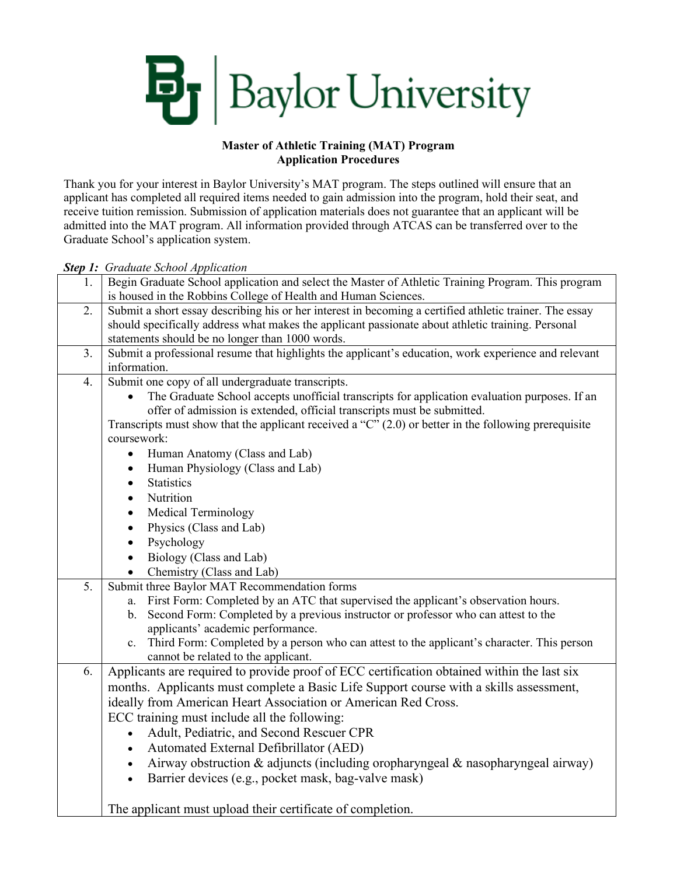

### **Master of Athletic Training (MAT) Program Application Procedures**

Thank you for your interest in Baylor University's MAT program. The steps outlined will ensure that an applicant has completed all required items needed to gain admission into the program, hold their seat, and receive tuition remission. Submission of application materials does not guarantee that an applicant will be admitted into the MAT program. All information provided through ATCAS can be transferred over to the Graduate School's application system.

*Step 1: Graduate School Application*

| 1. | Begin Graduate School application and select the Master of Athletic Training Program. This program                                                                                   |
|----|--------------------------------------------------------------------------------------------------------------------------------------------------------------------------------------|
|    | is housed in the Robbins College of Health and Human Sciences.                                                                                                                       |
| 2. | Submit a short essay describing his or her interest in becoming a certified athletic trainer. The essay                                                                              |
|    | should specifically address what makes the applicant passionate about athletic training. Personal                                                                                    |
|    | statements should be no longer than 1000 words.                                                                                                                                      |
| 3. | Submit a professional resume that highlights the applicant's education, work experience and relevant                                                                                 |
|    | information.                                                                                                                                                                         |
| 4. | Submit one copy of all undergraduate transcripts.                                                                                                                                    |
|    | The Graduate School accepts unofficial transcripts for application evaluation purposes. If an                                                                                        |
|    | offer of admission is extended, official transcripts must be submitted.<br>Transcripts must show that the applicant received a " $C$ " (2.0) or better in the following prerequisite |
|    | coursework:                                                                                                                                                                          |
|    | Human Anatomy (Class and Lab)<br>$\bullet$                                                                                                                                           |
|    | Human Physiology (Class and Lab)<br>$\bullet$                                                                                                                                        |
|    | <b>Statistics</b><br>$\bullet$                                                                                                                                                       |
|    | Nutrition<br>$\bullet$                                                                                                                                                               |
|    | Medical Terminology<br>$\bullet$                                                                                                                                                     |
|    | Physics (Class and Lab)<br>$\bullet$                                                                                                                                                 |
|    | Psychology<br>$\bullet$                                                                                                                                                              |
|    | Biology (Class and Lab)                                                                                                                                                              |
|    | Chemistry (Class and Lab)                                                                                                                                                            |
| 5. | Submit three Baylor MAT Recommendation forms                                                                                                                                         |
|    | First Form: Completed by an ATC that supervised the applicant's observation hours.<br>a.                                                                                             |
|    | Second Form: Completed by a previous instructor or professor who can attest to the<br>b.                                                                                             |
|    | applicants' academic performance.                                                                                                                                                    |
|    | Third Form: Completed by a person who can attest to the applicant's character. This person<br>$c_{\cdot}$                                                                            |
|    | cannot be related to the applicant.                                                                                                                                                  |
| 6. | Applicants are required to provide proof of ECC certification obtained within the last six                                                                                           |
|    | months. Applicants must complete a Basic Life Support course with a skills assessment,                                                                                               |
|    | ideally from American Heart Association or American Red Cross.                                                                                                                       |
|    | ECC training must include all the following:                                                                                                                                         |
|    | Adult, Pediatric, and Second Rescuer CPR                                                                                                                                             |
|    | Automated External Defibrillator (AED)<br>$\bullet$                                                                                                                                  |
|    | Airway obstruction & adjuncts (including oropharyngeal & nasopharyngeal airway)                                                                                                      |
|    | Barrier devices (e.g., pocket mask, bag-valve mask)<br>$\bullet$                                                                                                                     |
|    |                                                                                                                                                                                      |
|    | The applicant must upload their certificate of completion.                                                                                                                           |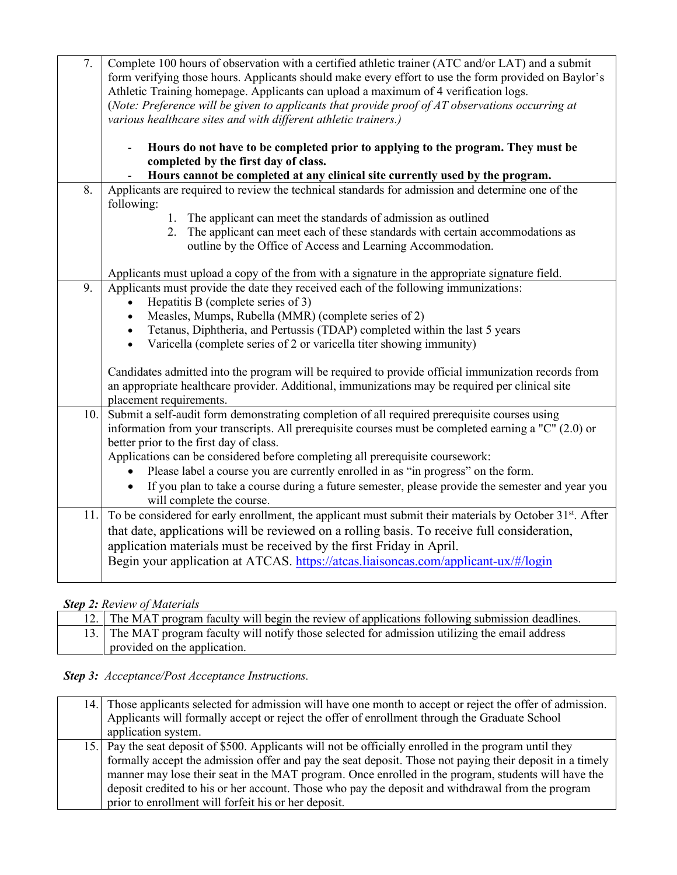| 7.  | Complete 100 hours of observation with a certified athletic trainer (ATC and/or LAT) and a submit                                                                                       |
|-----|-----------------------------------------------------------------------------------------------------------------------------------------------------------------------------------------|
|     | form verifying those hours. Applicants should make every effort to use the form provided on Baylor's                                                                                    |
|     | Athletic Training homepage. Applicants can upload a maximum of 4 verification logs.<br>(Note: Preference will be given to applicants that provide proof of AT observations occurring at |
|     | various healthcare sites and with different athletic trainers.)                                                                                                                         |
|     |                                                                                                                                                                                         |
|     | Hours do not have to be completed prior to applying to the program. They must be                                                                                                        |
|     | completed by the first day of class.                                                                                                                                                    |
|     | Hours cannot be completed at any clinical site currently used by the program.                                                                                                           |
| 8.  | Applicants are required to review the technical standards for admission and determine one of the<br>following:                                                                          |
|     | The applicant can meet the standards of admission as outlined<br>1.                                                                                                                     |
|     | The applicant can meet each of these standards with certain accommodations as<br>2.                                                                                                     |
|     | outline by the Office of Access and Learning Accommodation.                                                                                                                             |
|     |                                                                                                                                                                                         |
|     | Applicants must upload a copy of the from with a signature in the appropriate signature field.                                                                                          |
| 9.  | Applicants must provide the date they received each of the following immunizations:                                                                                                     |
|     | Hepatitis B (complete series of 3)                                                                                                                                                      |
|     | Measles, Mumps, Rubella (MMR) (complete series of 2)                                                                                                                                    |
|     | Tetanus, Diphtheria, and Pertussis (TDAP) completed within the last 5 years<br>Varicella (complete series of 2 or varicella titer showing immunity)                                     |
|     |                                                                                                                                                                                         |
|     | Candidates admitted into the program will be required to provide official immunization records from                                                                                     |
|     | an appropriate healthcare provider. Additional, immunizations may be required per clinical site                                                                                         |
|     | placement requirements.                                                                                                                                                                 |
| 10. | Submit a self-audit form demonstrating completion of all required prerequisite courses using                                                                                            |
|     | information from your transcripts. All prerequisite courses must be completed earning a "C" (2.0) or                                                                                    |
|     | better prior to the first day of class.                                                                                                                                                 |
|     | Applications can be considered before completing all prerequisite coursework:                                                                                                           |
|     | Please label a course you are currently enrolled in as "in progress" on the form.                                                                                                       |
|     | If you plan to take a course during a future semester, please provide the semester and year you                                                                                         |
|     | will complete the course.                                                                                                                                                               |
| 11. | To be considered for early enrollment, the applicant must submit their materials by October 31 <sup>st</sup> . After                                                                    |
|     | that date, applications will be reviewed on a rolling basis. To receive full consideration,                                                                                             |
|     | application materials must be received by the first Friday in April.                                                                                                                    |
|     | Begin your application at ATCAS. https://atcas.liaisoncas.com/applicant-ux/#/login                                                                                                      |
|     |                                                                                                                                                                                         |

# *Step 2: Review of Materials*

|  | 12. The MAT program faculty will begin the review of applications following submission deadlines. |
|--|---------------------------------------------------------------------------------------------------|
|  | 13. The MAT program faculty will notify those selected for admission utilizing the email address  |
|  | provided on the application.                                                                      |

# *Step 3: Acceptance/Post Acceptance Instructions.*

| 14. Those applicants selected for admission will have one month to accept or reject the offer of admission.          |
|----------------------------------------------------------------------------------------------------------------------|
| Applicants will formally accept or reject the offer of enrollment through the Graduate School<br>application system. |
|                                                                                                                      |
| 15. Pay the seat deposit of \$500. Applicants will not be officially enrolled in the program until they              |
| formally accept the admission offer and pay the seat deposit. Those not paying their deposit in a timely             |
| manner may lose their seat in the MAT program. Once enrolled in the program, students will have the                  |
| deposit credited to his or her account. Those who pay the deposit and withdrawal from the program                    |
| prior to enrollment will forfeit his or her deposit.                                                                 |